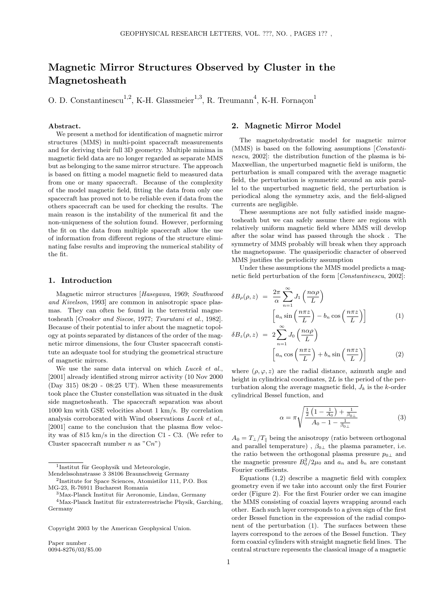# Magnetic Mirror Structures Observed by Cluster in the Magnetosheath

O. D. Constantinescu<sup>1,2</sup>, K-H. Glassmeier<sup>1,3</sup>, R. Treumann<sup>4</sup>, K-H. Fornaçon<sup>1</sup>

#### Abstract.

We present a method for identification of magnetic mirror structures (MMS) in multi-point spacecraft measurements and for deriving their full 3D geometry. Multiple minima in magnetic field data are no longer regarded as separate MMS but as belonging to the same mirror structure. The approach is based on fitting a model magnetic field to measured data from one or many spacecraft. Because of the complexity of the model magnetic field, fitting the data from only one spacecraft has proved not to be reliable even if data from the others spacecraft can be used for checking the results. The main reason is the instability of the numerical fit and the non-uniqueness of the solution found. However, performing the fit on the data from multiple spacecraft allow the use of information from different regions of the structure eliminating false results and improving the numerical stability of the fit.

#### 1. Introduction

Magnetic mirror structures [Hasegawa, 1969; Southwood and Kivelson, 1993] are common in anisotropic space plasmas. They can often be found in the terrestrial magnetosheath [Crooker and Siscoe, 1977; Tsurutani et al., 1982]. Because of their potential to infer about the magnetic topology at points separated by distances of the order of the magnetic mirror dimensions, the four Cluster spacecraft constitute an adequate tool for studying the geometrical structure of magnetic mirrors.

We use the same data interval on which Lucek et al., [2001] already identified strong mirror activity (10 Nov 2000 (Day 315) 08:20 - 08:25 UT). When these measurements took place the Cluster constellation was situated in the dusk side magnetosheath. The spacecraft separation was about 1000 km with GSE velocities about 1 km/s. By correlation analysis corroborated with Wind observations Lucek et al., [2001] came to the conclusion that the plasma flow velocity was of 815 km/s in the direction C1 - C3. (We refer to Cluster spacecraft number n as  $"Cn"$ )

<sup>1</sup>Institut für Geophysik und Meteorologie,

Mendelssohnstrasse 3 38106 Braunschweig Germany 2 Institute for Space Sciences, Atomistilor 111, P.O. Box MG-23, R-76911 Bucharest Romania

 $3$ Max-Planck Institut für Aeronomie, Lindau, Germany  $4$ Max-Planck Institut für extraterrestrische Physik, Garching, Germany

Copyright 2003 by the American Geophysical Union.

Paper number 0094-8276/03/\$5.00

### 2. Magnetic Mirror Model

The magnetohydrostatic model for magnetic mirror (MMS) is based on the following assumptions [Constantinescu, 2002]: the distribution function of the plasma is bi-Maxwellian, the unperturbed magnetic field is uniform, the perturbation is small compared with the average magnetic field, the perturbation is symmetric around an axis parallel to the unperturbed magnetic field, the perturbation is periodical along the symmetry axis, and the field-aligned currents are negligible.

These assumptions are not fully satisfied inside magnetosheath but we can safely assume there are regions with relatively uniform magnetic field where MMS will develop after the solar wind has passed through the shock . The symmetry of MMS probably will break when they approach the magnetopause. The quasiperiodic character of observed MMS justifies the periodicity assumption

Under these assumptions the MMS model predicts a magnetic field perturbation of the form [Constantinescu, 2002]:

$$
\delta B_{\rho}(\rho, z) = \frac{2\pi}{\alpha} \sum_{n=1}^{\infty} J_1\left(\frac{n\alpha\rho}{L}\right)
$$

$$
\left[a_n \sin\left(\frac{n\pi z}{L}\right) - b_n \cos\left(\frac{n\pi z}{L}\right)\right]
$$
(1)

$$
\delta B_z(\rho, z) = 2 \sum_{n=1}^{\infty} J_0 \left( \frac{n \alpha \rho}{L} \right)
$$

$$
\left[ a_n \cos \left( \frac{n \pi z}{L} \right) + b_n \sin \left( \frac{n \pi z}{L} \right) \right]
$$
(2)

where  $(\rho, \varphi, z)$  are the radial distance, azimuth angle and height in cylindrical coordinates, 2L is the period of the perturbation along the average magnetic field,  $J_k$  is the k-order cylindrical Bessel function, and

$$
\alpha = \pi \sqrt{\frac{\frac{1}{2} \left( 1 - \frac{1}{A_0} \right) + \frac{1}{\beta_{0\perp}}}{A_0 - 1 - \frac{1}{\beta_{0\perp}}}}
$$
(3)

 $A_0 = T_\perp/T_\parallel$  being the anisotropy (ratio between orthogonal and parallel temperature),  $\beta_{0\perp}$  the plasma parameter, i.e. the ratio between the orthogonal plasma pressure  $p_{0\perp}$  and the magnetic pressure  $B_0^2/2\mu_0$  and  $a_n$  and  $b_n$  are constant Fourier coefficients.

Equations (1,2) describe a magnetic field with complex geometry even if we take into account only the first Fourier order (Figure 2). For the first Fourier order we can imagine the MMS consisting of coaxial layers wrapping around each other. Each such layer corresponds to a given sign of the first order Bessel function in the expression of the radial component of the perturbation (1). The surfaces between these layers correspond to the zeroes of the Bessel function. They form coaxial cylinders with straight magnetic field lines. The central structure represents the classical image of a magnetic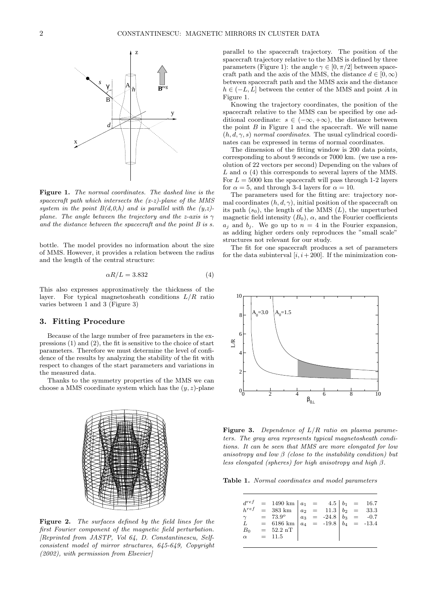

Figure 1. The normal coordinates. The dashed line is the spacecraft path which intersects the  $(x-z)$ -plane of the MMS system in the point  $B(d,0,h)$  and is parallel with the  $(y,z)$ plane. The angle between the trajectory and the z-axis is  $\gamma$ and the distance between the spacecraft and the point B is s.

bottle. The model provides no information about the size of MMS. However, it provides a relation between the radius and the length of the central structure:

$$
\alpha R/L = 3.832\tag{4}
$$

This also expresses approximatively the thickness of the layer. For typical magnetosheath conditions  $L/R$  ratio varies between 1 and 3 (Figure 3)

#### 3. Fitting Procedure

Because of the large number of free parameters in the expressions (1) and (2), the fit is sensitive to the choice of start parameters. Therefore we must determine the level of confidence of the results by analyzing the stability of the fit with respect to changes of the start parameters and variations in the measured data.

Thanks to the symmetry properties of the MMS we can choose a MMS coordinate system which has the  $(y, z)$ -plane



Figure 2. The surfaces defined by the field lines for the first Fourier component of the magnetic field perturbation. [Reprinted from JASTP, Vol 64, D. Constantinescu, Selfconsistent model of mirror structures, 645-649, Copyright (2002), with permission from Elsevier]

parallel to the spacecraft trajectory. The position of the spacecraft trajectory relative to the MMS is defined by three parameters (Figure 1): the angle  $\gamma \in [0, \pi/2]$  between spacecraft path and the axis of the MMS, the distance  $d \in [0, \infty)$ between spacecraft path and the MMS axis and the distance  $h \in (-L, L]$  between the center of the MMS and point A in Figure 1.

Knowing the trajectory coordinates, the position of the spacecraft relative to the MMS can be specified by one additional coordinate:  $s \in (-\infty, +\infty)$ , the distance between the point  $B$  in Figure 1 and the spacecraft. We will name  $(h, d, \gamma, s)$  normal coordinates. The usual cylindrical coordinates can be expressed in terms of normal coordinates.

The dimension of the fitting window is 200 data points, corresponding to about 9 seconds or 7000 km. (we use a resolution of 22 vectors per second) Depending on the values of L and  $\alpha$  (4) this corresponds to several layers of the MMS. For  $L = 5000$  km the spacecraft will pass through 1-2 layers for  $\alpha = 5$ , and through 3-4 layers for  $\alpha = 10$ .

The parameters used for the fitting are: trajectory normal coordinates  $(h, d, \gamma)$ , initial position of the spacecraft on its path  $(s_0)$ , the length of the MMS  $(L)$ , the unperturbed magnetic field intensity  $(B_0)$ ,  $\alpha$ , and the Fourier coefficients  $a_i$  and  $b_i$ . We go up to  $n = 4$  in the Fourier expansion, as adding higher orders only reproduces the "small scale" structures not relevant for our study.

The fit for one spacecraft produces a set of parameters for the data subinterval  $[i, i+200]$ . If the minimization con-



**Figure 3.** Dependence of  $L/R$  ratio on plasma parameters. The gray area represents typical magnetosheath conditions. It can be seen that MMS are more elongated for low anisotropy and low  $\beta$  (close to the instability condition) but less elongated (spheres) for high anisotropy and high  $\beta$ .

Table 1. Normal coordinates and model parameters

|  | $\left.\begin{array}{lllllllllll} d^{ref} & = & 1490 \; \mathrm{km} & a_1 & = & 4.5 & b_1 & = & 16.7 \\ h^{ref} & = & 383 \; \mathrm{km} & a_2 & = & 11.3 & b_2 & = & 33.3 \\ \gamma & = & 73.9^o & a_3 & = & -24.8 & b_3 & = & -0.7 \\ L & = & 6186 \; \mathrm{km} & a_4 & = & -19.8 & b_4 & = & -13.4 \\ B_0 & = & 52.2 \; \mathrm{nT} & & & & & \\ \alpha & = & 11.5 & & & & & \end{array$ |  |  |  |
|--|-----------------------------------------------------------------------------------------------------------------------------------------------------------------------------------------------------------------------------------------------------------------------------------------------------------------------------------------------------------------------------------------------|--|--|--|
|  |                                                                                                                                                                                                                                                                                                                                                                                               |  |  |  |
|  |                                                                                                                                                                                                                                                                                                                                                                                               |  |  |  |
|  |                                                                                                                                                                                                                                                                                                                                                                                               |  |  |  |
|  |                                                                                                                                                                                                                                                                                                                                                                                               |  |  |  |
|  |                                                                                                                                                                                                                                                                                                                                                                                               |  |  |  |
|  |                                                                                                                                                                                                                                                                                                                                                                                               |  |  |  |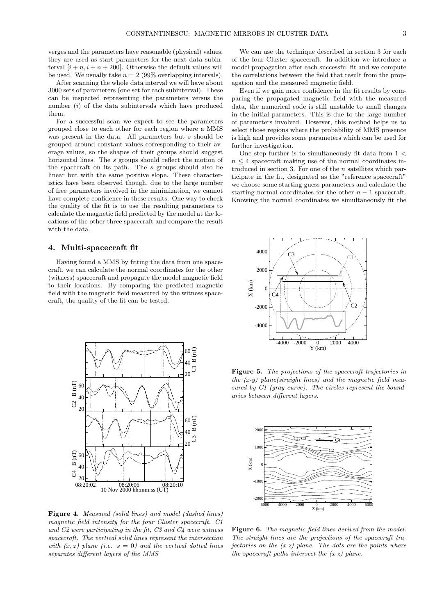verges and the parameters have reasonable (physical) values, they are used as start parameters for the next data subinterval  $[i + n, i + n + 200]$ . Otherwise the default values will be used. We usually take  $n = 2$  (99% overlapping intervals).

After scanning the whole data interval we will have about 3000 sets of parameters (one set for each subinterval). These can be inspected representing the parameters versus the number  $(i)$  of the data subintervals which have produced them.

For a successful scan we expect to see the parameters grouped close to each other for each region where a MMS was present in the data. All parameters but s should be grouped around constant values corresponding to their average values, so the shapes of their groups should suggest horizontal lines. The s groups should reflect the motion of the spacecraft on its path. The s groups should also be linear but with the same positive slope. These characteristics have been observed though, due to the large number of free parameters involved in the minimization, we cannot have complete confidence in these results. One way to check the quality of the fit is to use the resulting parameters to calculate the magnetic field predicted by the model at the locations of the other three spacecraft and compare the result with the data.

#### 4. Multi-spacecraft fit

Having found a MMS by fitting the data from one spacecraft, we can calculate the normal coordinates for the other (witness) spacecraft and propagate the model magnetic field to their locations. By comparing the predicted magnetic field with the magnetic field measured by the witness spacecraft, the quality of the fit can be tested.



Figure 4. Measured (solid lines) and model (dashed lines) magnetic field intensity for the four Cluster spacecraft. C1 and C2 were participating in the fit, C3 and C4 were witness spacecraft. The vertical solid lines represent the intersection with  $(x, z)$  plane (i.e.  $s = 0$ ) and the vertical dotted lines separates different layers of the MMS

We can use the technique described in section 3 for each of the four Cluster spacecraft. In addition we introduce a model propagation after each successful fit and we compute the correlations between the field that result from the propagation and the measured magnetic field.

Even if we gain more confidence in the fit results by comparing the propagated magnetic field with the measured data, the numerical code is still unstable to small changes in the initial parameters. This is due to the large number of parameters involved. However, this method helps us to select those regions where the probability of MMS presence is high and provides some parameters which can be used for further investigation.

One step further is to simultaneously fit data from  $1 <$  $n \leq 4$  spacecraft making use of the normal coordinates introduced in section 3. For one of the  $n$  satellites which participate in the fit, designated as the "reference spacecraft" we choose some starting guess parameters and calculate the starting normal coordinates for the other  $n-1$  spacecraft. Knowing the normal coordinates we simultaneously fit the



Figure 5. The projections of the spacecraft trajectories in the  $(x-y)$  plane(straight lines) and the magnetic field measured by C1 (gray curve). The circles represent the boundaries between different layers.



Figure 6. The magnetic field lines derived from the model. The straight lines are the projections of the spacecraft trajectories on the  $(x-z)$  plane. The dots are the points where the spacecraft paths intersect the  $(x-z)$  plane.